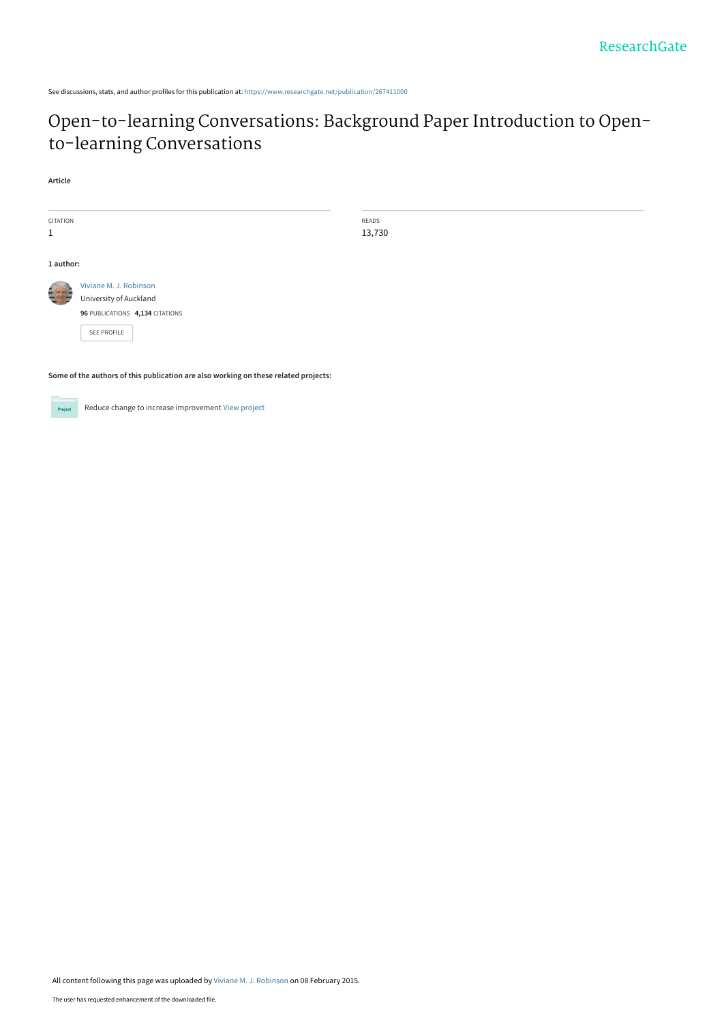See discussions, stats, and author profiles for this publication at: [https://www.researchgate.net/publication/267411000](https://www.researchgate.net/publication/267411000_Open-to-learning_Conversations_Background_Paper_Introduction_to_Open-to-learning_Conversations?enrichId=rgreq-768f0ffd09d4e364bc85bfca729e9fb5-XXX&enrichSource=Y292ZXJQYWdlOzI2NzQxMTAwMDtBUzoxOTQ2ODcyMjc5NjEzNDhAMTQyMzQyODQ2MDkwNQ%3D%3D&el=1_x_2&_esc=publicationCoverPdf)

# [Open-to-learning Conversations: Background Paper Introduction to Open](https://www.researchgate.net/publication/267411000_Open-to-learning_Conversations_Background_Paper_Introduction_to_Open-to-learning_Conversations?enrichId=rgreq-768f0ffd09d4e364bc85bfca729e9fb5-XXX&enrichSource=Y292ZXJQYWdlOzI2NzQxMTAwMDtBUzoxOTQ2ODcyMjc5NjEzNDhAMTQyMzQyODQ2MDkwNQ%3D%3D&el=1_x_3&_esc=publicationCoverPdf)to-learning Conversations

READS 13,730

#### **Article**

| <b>CITATION</b> |                                 |
|-----------------|---------------------------------|
| 1               |                                 |
|                 |                                 |
| 1 author:       |                                 |
|                 | Viviane M. J. Robinson          |
|                 | University of Auckland          |
|                 | 96 PUBLICATIONS 4,134 CITATIONS |
|                 | SFF PROFILE                     |
|                 |                                 |

**Some of the authors of this publication are also working on these related projects:**



Reduce change to increase improvement [View project](https://www.researchgate.net/project/Reduce-change-to-increase-improvement?enrichId=rgreq-768f0ffd09d4e364bc85bfca729e9fb5-XXX&enrichSource=Y292ZXJQYWdlOzI2NzQxMTAwMDtBUzoxOTQ2ODcyMjc5NjEzNDhAMTQyMzQyODQ2MDkwNQ%3D%3D&el=1_x_9&_esc=publicationCoverPdf)

All content following this page was uploaded by [Viviane M. J. Robinson](https://www.researchgate.net/profile/Viviane-Robinson?enrichId=rgreq-768f0ffd09d4e364bc85bfca729e9fb5-XXX&enrichSource=Y292ZXJQYWdlOzI2NzQxMTAwMDtBUzoxOTQ2ODcyMjc5NjEzNDhAMTQyMzQyODQ2MDkwNQ%3D%3D&el=1_x_10&_esc=publicationCoverPdf) on 08 February 2015.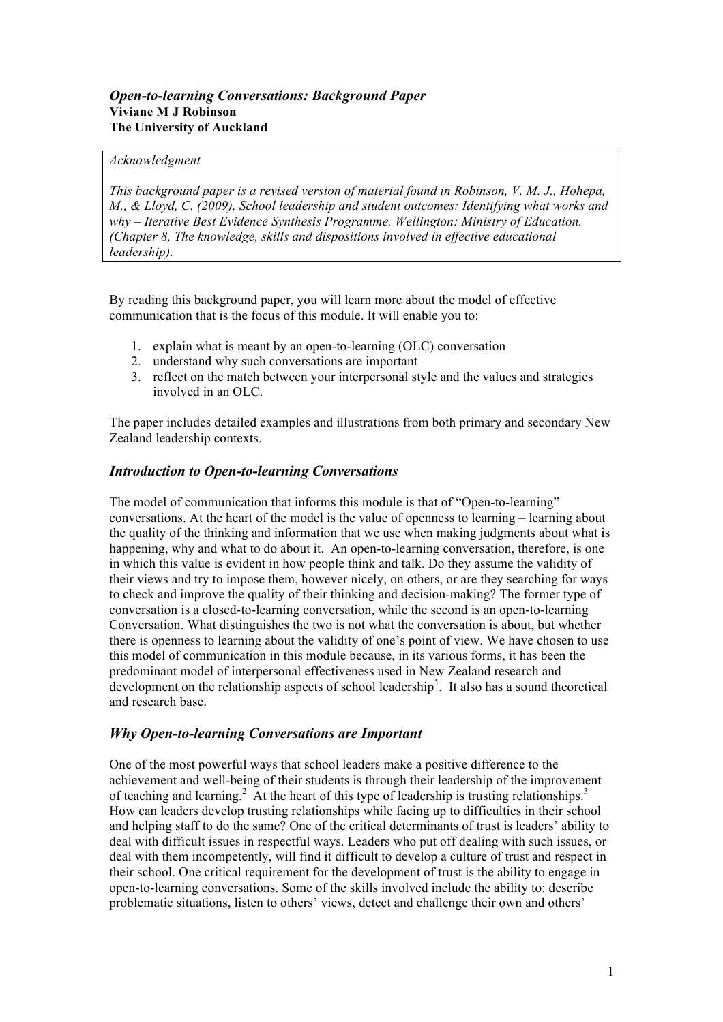## *Open-to-learning Conversations: Background Paper*  **Viviane M J Robinson The University of Auckland**

## *Acknowledgment*

*This background paper is a revised version of material found in Robinson, V. M. J., Hohepa, M., & Lloyd, C. (2009). School leadership and student outcomes: Identifying what works and why – Iterative Best Evidence Synthesis Programme. Wellington: Ministry of Education. (Chapter 8, The knowledge, skills and dispositions involved in effective educational leadership).*

By reading this background paper, you will learn more about the model of effective communication that is the focus of this module. It will enable you to:

- 1. explain what is meant by an open-to-learning (OLC) conversation
- 2. understand why such conversations are important
- 3. reflect on the match between your interpersonal style and the values and strategies involved in an OLC.

The paper includes detailed examples and illustrations from both primary and secondary New Zealand leadership contexts.

## *Introduction to Open-to-learning Conversations*

The model of communication that informs this module is that of "Open-to-learning" conversations. At the heart of the model is the value of openness to learning – learning about the quality of the thinking and information that we use when making judgments about what is happening, why and what to do about it. An open-to-learning conversation, therefore, is one in which this value is evident in how people think and talk. Do they assume the validity of their views and try to impose them, however nicely, on others, or are they searching for ways to check and improve the quality of their thinking and decision-making? The former type of conversation is a closed-to-learning conversation, while the second is an open-to-learning Conversation. What distinguishes the two is not what the conversation is about, but whether there is openness to learning about the validity of one's point of view. We have chosen to use this model of communication in this module because, in its various forms, it has been the predominant model of interpersonal effectiveness used in New Zealand research and development on the relationship aspects of school leadership<sup>1</sup>. It also has a sound theoretical and research base.

## *Why Open-to-learning Conversations are Important*

One of the most powerful ways that school leaders make a positive difference to the achievement and well-being of their students is through their leadership of the improvement of teaching and learning.<sup>2</sup> At the heart of this type of leadership is trusting relationships.<sup>3</sup> How can leaders develop trusting relationships while facing up to difficulties in their school and helping staff to do the same? One of the critical determinants of trust is leaders' ability to deal with difficult issues in respectful ways. Leaders who put off dealing with such issues, or deal with them incompetently, will find it difficult to develop a culture of trust and respect in their school. One critical requirement for the development of trust is the ability to engage in open-to-learning conversations. Some of the skills involved include the ability to: describe problematic situations, listen to others' views, detect and challenge their own and others'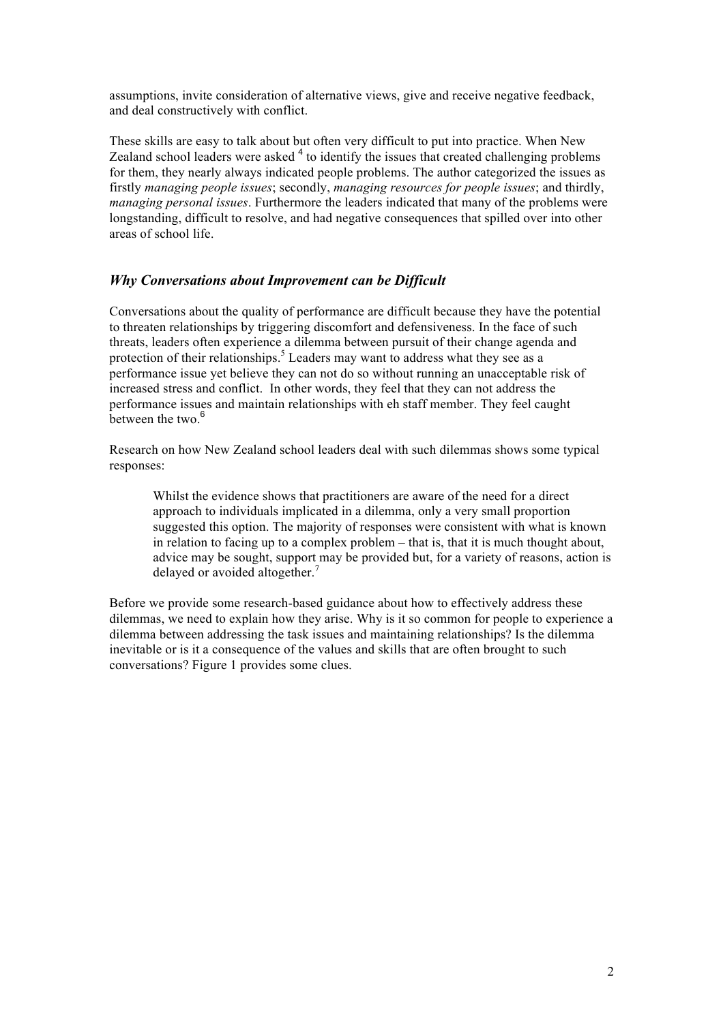assumptions, invite consideration of alternative views, give and receive negative feedback, and deal constructively with conflict.

These skills are easy to talk about but often very difficult to put into practice. When New Zealand school leaders were asked <sup>4</sup> to identify the issues that created challenging problems for them, they nearly always indicated people problems. The author categorized the issues as firstly *managing people issues*; secondly, *managing resources for people issues*; and thirdly, *managing personal issues*. Furthermore the leaders indicated that many of the problems were longstanding, difficult to resolve, and had negative consequences that spilled over into other areas of school life.

## *Why Conversations about Improvement can be Difficult*

Conversations about the quality of performance are difficult because they have the potential to threaten relationships by triggering discomfort and defensiveness. In the face of such threats, leaders often experience a dilemma between pursuit of their change agenda and protection of their relationships.<sup>5</sup> Leaders may want to address what they see as a performance issue yet believe they can not do so without running an unacceptable risk of increased stress and conflict. In other words, they feel that they can not address the performance issues and maintain relationships with eh staff member. They feel caught between the two. $6\overline{6}$ 

Research on how New Zealand school leaders deal with such dilemmas shows some typical responses:

Whilst the evidence shows that practitioners are aware of the need for a direct approach to individuals implicated in a dilemma, only a very small proportion suggested this option. The majority of responses were consistent with what is known in relation to facing up to a complex problem – that is, that it is much thought about, advice may be sought, support may be provided but, for a variety of reasons, action is delayed or avoided altogether.<sup>7</sup>

Before we provide some research-based guidance about how to effectively address these dilemmas, we need to explain how they arise. Why is it so common for people to experience a dilemma between addressing the task issues and maintaining relationships? Is the dilemma inevitable or is it a consequence of the values and skills that are often brought to such conversations? Figure 1 provides some clues.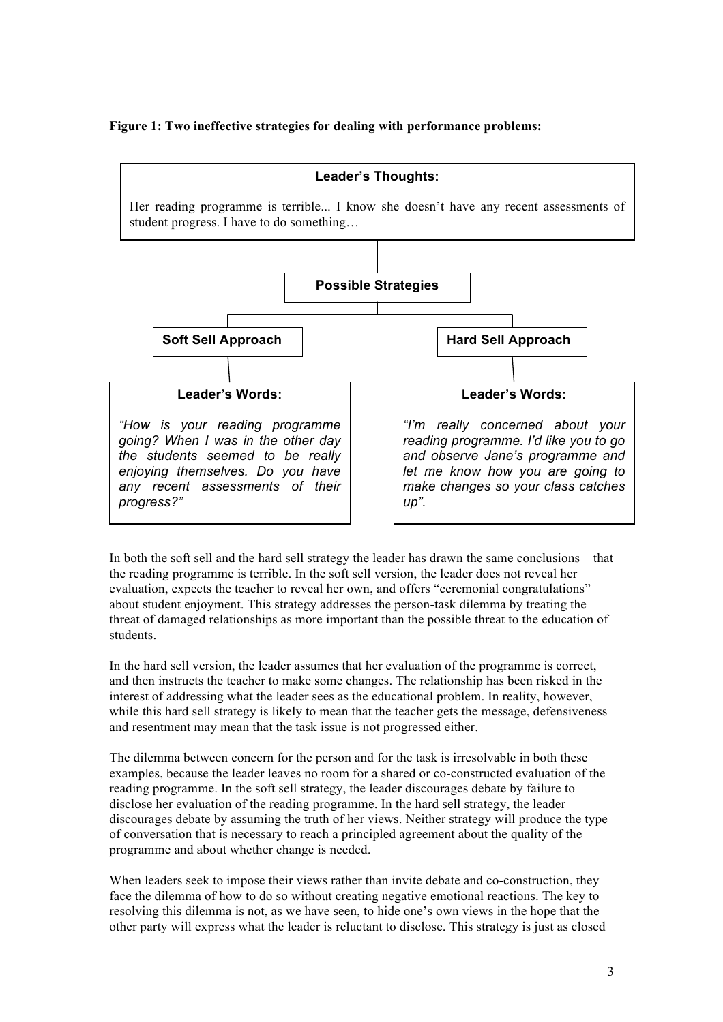## **Figure 1: Two ineffective strategies for dealing with performance problems:**



In both the soft sell and the hard sell strategy the leader has drawn the same conclusions – that the reading programme is terrible. In the soft sell version, the leader does not reveal her evaluation, expects the teacher to reveal her own, and offers "ceremonial congratulations" about student enjoyment. This strategy addresses the person-task dilemma by treating the threat of damaged relationships as more important than the possible threat to the education of students.

In the hard sell version, the leader assumes that her evaluation of the programme is correct, and then instructs the teacher to make some changes. The relationship has been risked in the interest of addressing what the leader sees as the educational problem. In reality, however, while this hard sell strategy is likely to mean that the teacher gets the message, defensiveness and resentment may mean that the task issue is not progressed either.

The dilemma between concern for the person and for the task is irresolvable in both these examples, because the leader leaves no room for a shared or co-constructed evaluation of the reading programme. In the soft sell strategy, the leader discourages debate by failure to disclose her evaluation of the reading programme. In the hard sell strategy, the leader discourages debate by assuming the truth of her views. Neither strategy will produce the type of conversation that is necessary to reach a principled agreement about the quality of the programme and about whether change is needed.

When leaders seek to impose their views rather than invite debate and co-construction, they face the dilemma of how to do so without creating negative emotional reactions. The key to resolving this dilemma is not, as we have seen, to hide one's own views in the hope that the other party will express what the leader is reluctant to disclose. This strategy is just as closed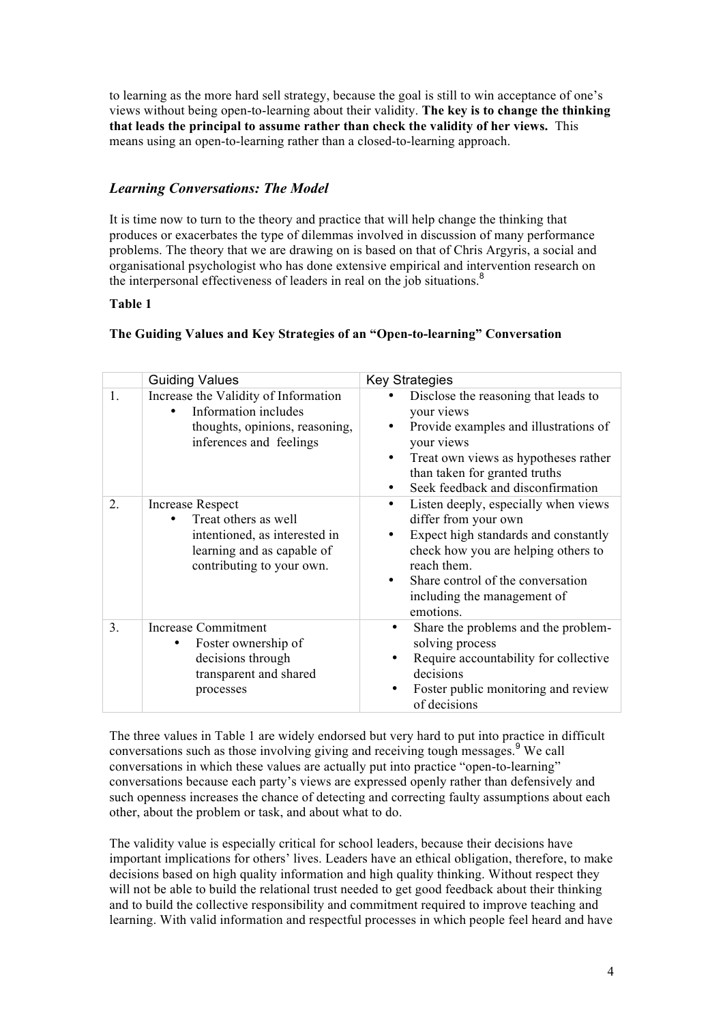to learning as the more hard sell strategy, because the goal is still to win acceptance of one's views without being open-to-learning about their validity. **The key is to change the thinking that leads the principal to assume rather than check the validity of her views.** This means using an open-to-learning rather than a closed-to-learning approach.

## *Learning Conversations: The Model*

It is time now to turn to the theory and practice that will help change the thinking that produces or exacerbates the type of dilemmas involved in discussion of many performance problems. The theory that we are drawing on is based on that of Chris Argyris, a social and organisational psychologist who has done extensive empirical and intervention research on the interpersonal effectiveness of leaders in real on the job situations.<sup>8</sup>

## **Table 1**

## **The Guiding Values and Key Strategies of an "Open-to-learning" Conversation**

|    | <b>Guiding Values</b>                                                                                                                | <b>Key Strategies</b>                                                                                                                                                                                                                                    |
|----|--------------------------------------------------------------------------------------------------------------------------------------|----------------------------------------------------------------------------------------------------------------------------------------------------------------------------------------------------------------------------------------------------------|
| 1. | Increase the Validity of Information<br>Information includes<br>thoughts, opinions, reasoning,<br>inferences and feelings            | Disclose the reasoning that leads to<br>your views<br>Provide examples and illustrations of<br>your views<br>Treat own views as hypotheses rather<br>$\bullet$<br>than taken for granted truths<br>Seek feedback and disconfirmation                     |
| 2. | Increase Respect<br>Treat others as well<br>intentioned, as interested in<br>learning and as capable of<br>contributing to your own. | Listen deeply, especially when views<br>$\bullet$<br>differ from your own<br>Expect high standards and constantly<br>check how you are helping others to<br>reach them.<br>Share control of the conversation<br>including the management of<br>emotions. |
| 3. | <b>Increase Commitment</b><br>Foster ownership of<br>decisions through<br>transparent and shared<br>processes                        | Share the problems and the problem-<br>٠<br>solving process<br>Require accountability for collective<br>decisions<br>Foster public monitoring and review<br>of decisions                                                                                 |

The three values in Table 1 are widely endorsed but very hard to put into practice in difficult conversations such as those involving giving and receiving tough messages.<sup>9</sup> We call conversations in which these values are actually put into practice "open-to-learning" conversations because each party's views are expressed openly rather than defensively and such openness increases the chance of detecting and correcting faulty assumptions about each other, about the problem or task, and about what to do.

The validity value is especially critical for school leaders, because their decisions have important implications for others' lives. Leaders have an ethical obligation, therefore, to make decisions based on high quality information and high quality thinking. Without respect they will not be able to build the relational trust needed to get good feedback about their thinking and to build the collective responsibility and commitment required to improve teaching and learning. With valid information and respectful processes in which people feel heard and have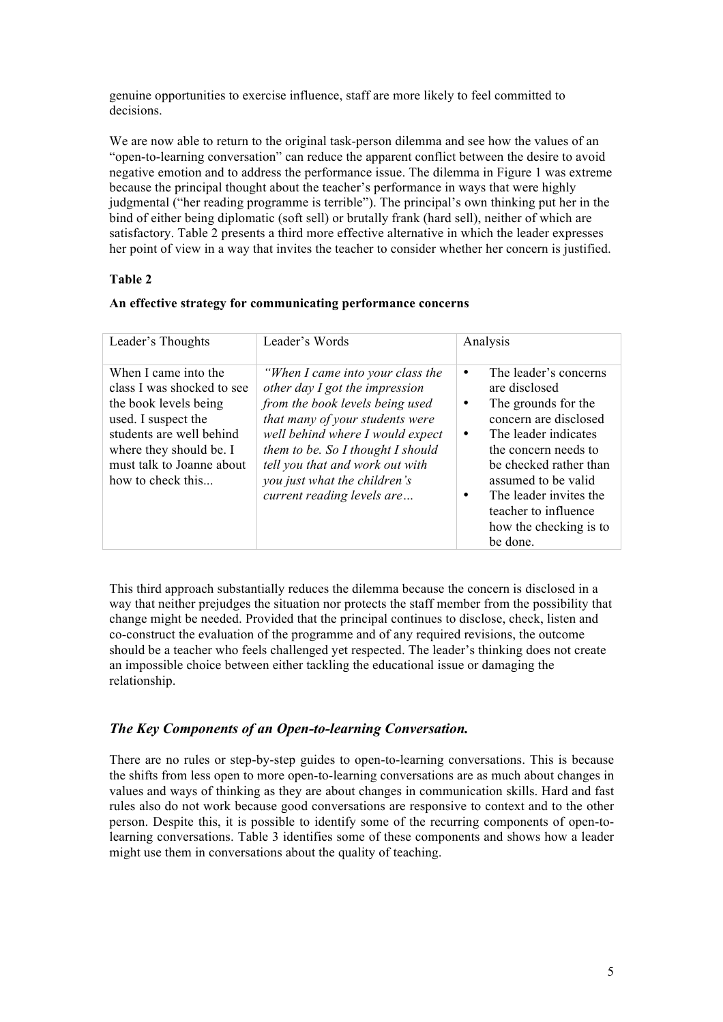genuine opportunities to exercise influence, staff are more likely to feel committed to decisions.

We are now able to return to the original task-person dilemma and see how the values of an "open-to-learning conversation" can reduce the apparent conflict between the desire to avoid negative emotion and to address the performance issue. The dilemma in Figure 1 was extreme because the principal thought about the teacher's performance in ways that were highly judgmental ("her reading programme is terrible"). The principal's own thinking put her in the bind of either being diplomatic (soft sell) or brutally frank (hard sell), neither of which are satisfactory. Table 2 presents a third more effective alternative in which the leader expresses her point of view in a way that invites the teacher to consider whether her concern is justified.

## **Table 2**

|  | An effective strategy for communicating performance concerns |  |  |  |  |
|--|--------------------------------------------------------------|--|--|--|--|
|--|--------------------------------------------------------------|--|--|--|--|

| Leader's Thoughts                                                                                                                                                                                           | Leader's Words                                                                                                                                                                                                                                                                                                     | Analysis                                                                                                                                                                                                                                                                                            |
|-------------------------------------------------------------------------------------------------------------------------------------------------------------------------------------------------------------|--------------------------------------------------------------------------------------------------------------------------------------------------------------------------------------------------------------------------------------------------------------------------------------------------------------------|-----------------------------------------------------------------------------------------------------------------------------------------------------------------------------------------------------------------------------------------------------------------------------------------------------|
| When I came into the<br>class I was shocked to see<br>the book levels being<br>used. I suspect the<br>students are well behind<br>where they should be. I<br>must talk to Joanne about<br>how to check this | "When I came into your class the<br>other day I got the impression<br>from the book levels being used<br>that many of your students were<br>well behind where I would expect<br>them to be. So I thought I should<br>tell you that and work out with<br>you just what the children's<br>current reading levels are | The leader's concerns<br>٠<br>are disclosed<br>The grounds for the<br>٠<br>concern are disclosed<br>The leader indicates<br>٠<br>the concern needs to<br>be checked rather than<br>assumed to be valid<br>The leader invites the<br>٠<br>teacher to influence<br>how the checking is to<br>be done. |

This third approach substantially reduces the dilemma because the concern is disclosed in a way that neither prejudges the situation nor protects the staff member from the possibility that change might be needed. Provided that the principal continues to disclose, check, listen and co-construct the evaluation of the programme and of any required revisions, the outcome should be a teacher who feels challenged yet respected. The leader's thinking does not create an impossible choice between either tackling the educational issue or damaging the relationship.

## *The Key Components of an Open-to-learning Conversation.*

There are no rules or step-by-step guides to open-to-learning conversations. This is because the shifts from less open to more open-to-learning conversations are as much about changes in values and ways of thinking as they are about changes in communication skills. Hard and fast rules also do not work because good conversations are responsive to context and to the other person. Despite this, it is possible to identify some of the recurring components of open-tolearning conversations. Table 3 identifies some of these components and shows how a leader might use them in conversations about the quality of teaching.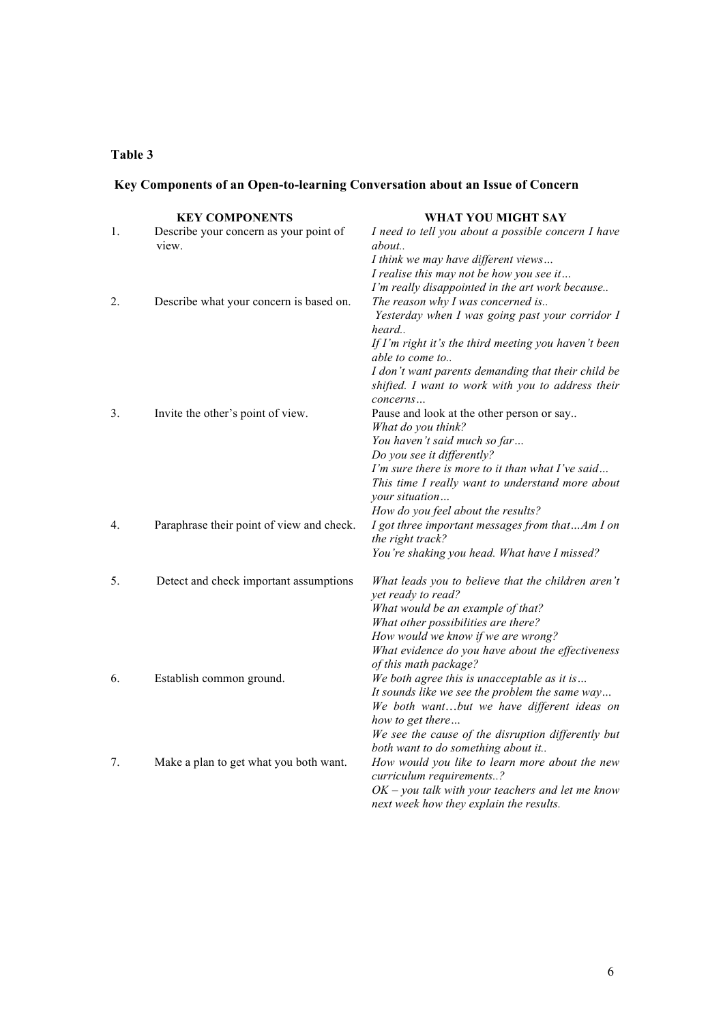## **Table 3**

# **Key Components of an Open-to-learning Conversation about an Issue of Concern**

|    | <b>KEY COMPONENTS</b>                     | WHAT YOU MIGHT SAY                                                         |
|----|-------------------------------------------|----------------------------------------------------------------------------|
| 1. | Describe your concern as your point of    | I need to tell you about a possible concern I have                         |
|    | view.                                     | about                                                                      |
|    |                                           | I think we may have different views                                        |
|    |                                           | I realise this may not be how you see it                                   |
|    |                                           | I'm really disappointed in the art work because                            |
| 2. | Describe what your concern is based on.   | The reason why I was concerned is                                          |
|    |                                           | Yesterday when I was going past your corridor I<br>heard                   |
|    |                                           | If I'm right it's the third meeting you haven't been                       |
|    |                                           | able to come to                                                            |
|    |                                           | I don't want parents demanding that their child be                         |
|    |                                           | shifted. I want to work with you to address their                          |
| 3. |                                           | concerns                                                                   |
|    | Invite the other's point of view.         | Pause and look at the other person or say<br>What do you think?            |
|    |                                           | You haven't said much so far                                               |
|    |                                           | Do you see it differently?                                                 |
|    |                                           | I'm sure there is more to it than what I've said                           |
|    |                                           | This time I really want to understand more about                           |
|    |                                           | your situation                                                             |
|    |                                           | How do you feel about the results?                                         |
| 4. | Paraphrase their point of view and check. | I got three important messages from thatAm I on<br>the right track?        |
|    |                                           | You're shaking you head. What have I missed?                               |
|    |                                           |                                                                            |
| 5. | Detect and check important assumptions    | What leads you to believe that the children aren't                         |
|    |                                           | yet ready to read?                                                         |
|    |                                           | What would be an example of that?                                          |
|    |                                           | What other possibilities are there?                                        |
|    |                                           | How would we know if we are wrong?                                         |
|    |                                           | What evidence do you have about the effectiveness<br>of this math package? |
| 6. | Establish common ground.                  | We both agree this is unacceptable as it is                                |
|    |                                           | It sounds like we see the problem the same way                             |
|    |                                           | We both wantbut we have different ideas on                                 |
|    |                                           | how to get there                                                           |
|    |                                           | We see the cause of the disruption differently but                         |
|    |                                           | both want to do something about it                                         |
| 7. | Make a plan to get what you both want.    | How would you like to learn more about the new                             |
|    |                                           | curriculum requirements?                                                   |
|    |                                           | $OK$ – you talk with your teachers and let me know                         |
|    |                                           | next week how they explain the results.                                    |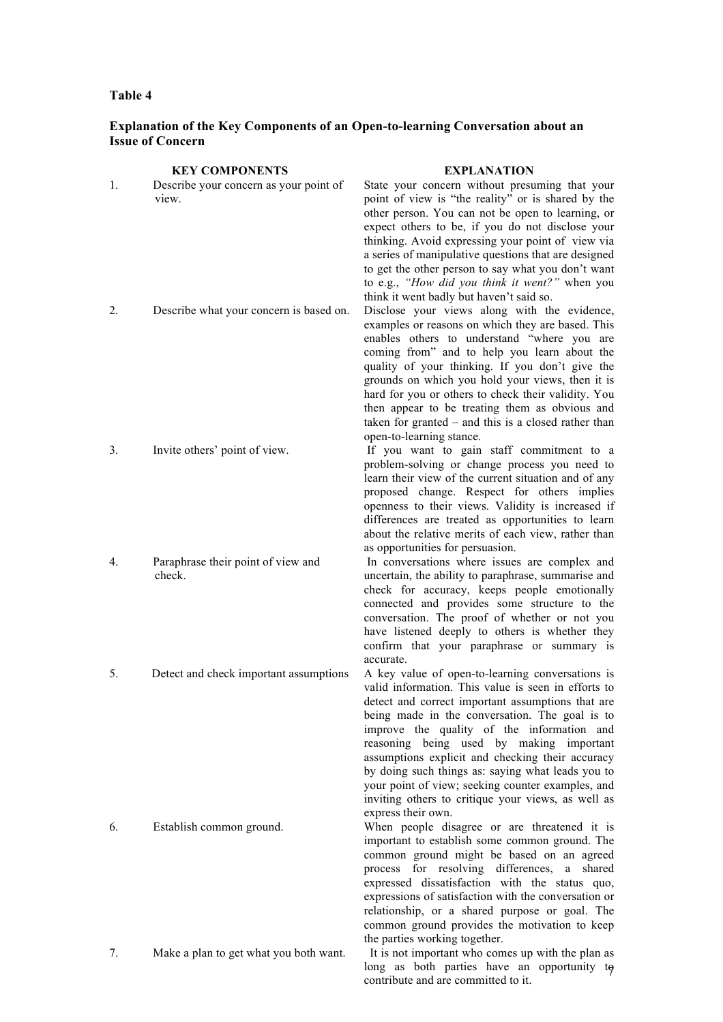### **Table 4**

## **Explanation of the Key Components of an Open-to-learning Conversation about an Issue of Concern**

#### **KEY COMPONENTS EXPLANATION**

- 1. Describe your concern as your point of view. State your concern without presuming that your point of view is "the reality" or is shared by the other person. You can not be open to learning, or expect others to be, if you do not disclose your thinking. Avoid expressing your point of view via a series of manipulative questions that are designed to get the other person to say what you don't want to e.g., *"How did you think it went?"* when you think it went badly but haven't said so. 2. Describe what your concern is based on. Disclose your views along with the evidence, examples or reasons on which they are based. This enables others to understand "where you are coming from" and to help you learn about the quality of your thinking. If you don't give the grounds on which you hold your views, then it is hard for you or others to check their validity. You then appear to be treating them as obvious and taken for granted – and this is a closed rather than open-to-learning stance. 3. Invite others' point of view. If you want to gain staff commitment to a problem-solving or change process you need to learn their view of the current situation and of any proposed change. Respect for others implies openness to their views. Validity is increased if differences are treated as opportunities to learn about the relative merits of each view, rather than as opportunities for persuasion. 4. Paraphrase their point of view and check. In conversations where issues are complex and uncertain, the ability to paraphrase, summarise and check for accuracy, keeps people emotionally connected and provides some structure to the conversation. The proof of whether or not you have listened deeply to others is whether they confirm that your paraphrase or summary is accurate. 5. Detect and check important assumptions A key value of open-to-learning conversations is valid information. This value is seen in efforts to detect and correct important assumptions that are being made in the conversation. The goal is to improve the quality of the information and reasoning being used by making important assumptions explicit and checking their accuracy by doing such things as: saying what leads you to your point of view; seeking counter examples, and inviting others to critique your views, as well as express their own. 6. Establish common ground. When people disagree or are threatened it is important to establish some common ground. The common ground might be based on an agreed process for resolving differences, a shared expressed dissatisfaction with the status quo,
- 7. Make a plan to get what you both want. It is not important who comes up with the plan as

long as both parties have an opportunity to contribute and are committed to it.

the parties working together.

expressions of satisfaction with the conversation or relationship, or a shared purpose or goal. The common ground provides the motivation to keep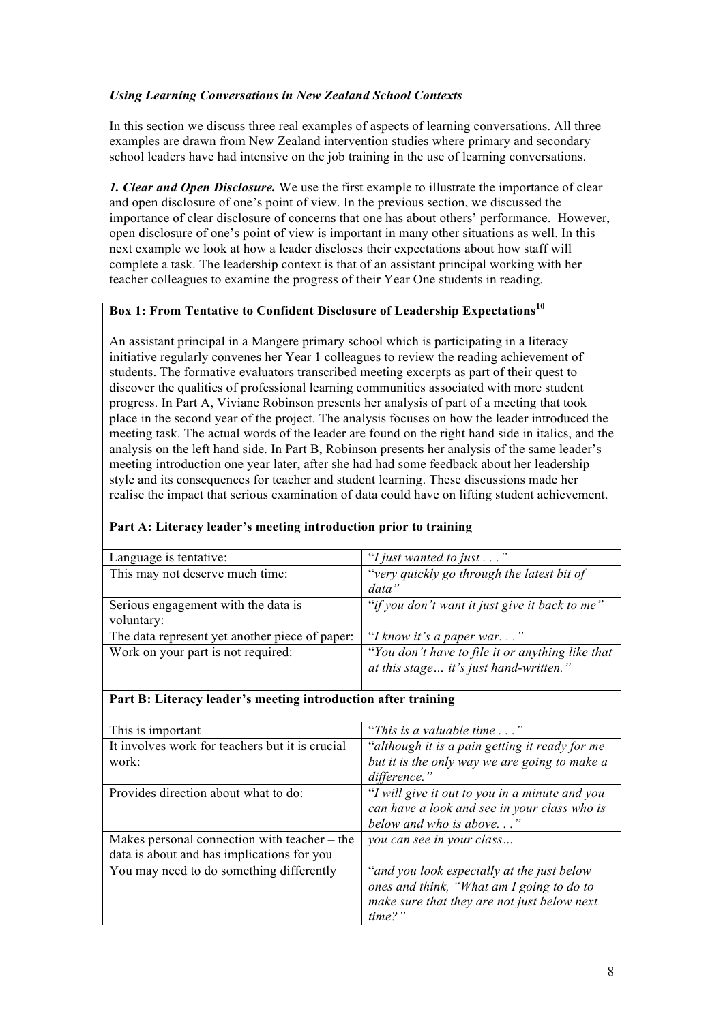## *Using Learning Conversations in New Zealand School Contexts*

In this section we discuss three real examples of aspects of learning conversations. All three examples are drawn from New Zealand intervention studies where primary and secondary school leaders have had intensive on the job training in the use of learning conversations.

*1. Clear and Open Disclosure.* We use the first example to illustrate the importance of clear and open disclosure of one's point of view. In the previous section, we discussed the importance of clear disclosure of concerns that one has about others' performance. However, open disclosure of one's point of view is important in many other situations as well. In this next example we look at how a leader discloses their expectations about how staff will complete a task. The leadership context is that of an assistant principal working with her teacher colleagues to examine the progress of their Year One students in reading.

## **Box 1: From Tentative to Confident Disclosure of Leadership Expectations<sup>10</sup>**

An assistant principal in a Mangere primary school which is participating in a literacy initiative regularly convenes her Year 1 colleagues to review the reading achievement of students. The formative evaluators transcribed meeting excerpts as part of their quest to discover the qualities of professional learning communities associated with more student progress. In Part A, Viviane Robinson presents her analysis of part of a meeting that took place in the second year of the project. The analysis focuses on how the leader introduced the meeting task. The actual words of the leader are found on the right hand side in italics, and the analysis on the left hand side. In Part B, Robinson presents her analysis of the same leader's meeting introduction one year later, after she had had some feedback about her leadership style and its consequences for teacher and student learning. These discussions made her realise the impact that serious examination of data could have on lifting student achievement.

| Language is tentative:                         | "I just wanted to just $\dots$ "                 |
|------------------------------------------------|--------------------------------------------------|
| This may not deserve much time:                | "very quickly go through the latest bit of       |
|                                                | data"                                            |
| Serious engagement with the data is            | "if you don't want it just give it back to me"   |
| voluntary:                                     |                                                  |
| The data represent yet another piece of paper: | "I know it's a paper war"                        |
| Work on your part is not required:             | "You don't have to file it or anything like that |
|                                                | at this stage it's just hand-written."           |
|                                                |                                                  |

## **Part A: Literacy leader's meeting introduction prior to training**

## **Part B: Literacy leader's meeting introduction after training**

| This is important                                                                            | "This is a valuable time"                                                                                                                            |
|----------------------------------------------------------------------------------------------|------------------------------------------------------------------------------------------------------------------------------------------------------|
| It involves work for teachers but it is crucial                                              | "although it is a pain getting it ready for me                                                                                                       |
| work:                                                                                        | but it is the only way we are going to make a                                                                                                        |
|                                                                                              | difference."                                                                                                                                         |
| Provides direction about what to do:                                                         | "I will give it out to you in a minute and you<br>can have a look and see in your class who is<br>below and who is above"                            |
| Makes personal connection with teacher $-$ the<br>data is about and has implications for you | you can see in your class                                                                                                                            |
| You may need to do something differently                                                     | "and you look especially at the just below"<br>ones and think, "What am I going to do to<br>make sure that they are not just below next<br>$time$ ?" |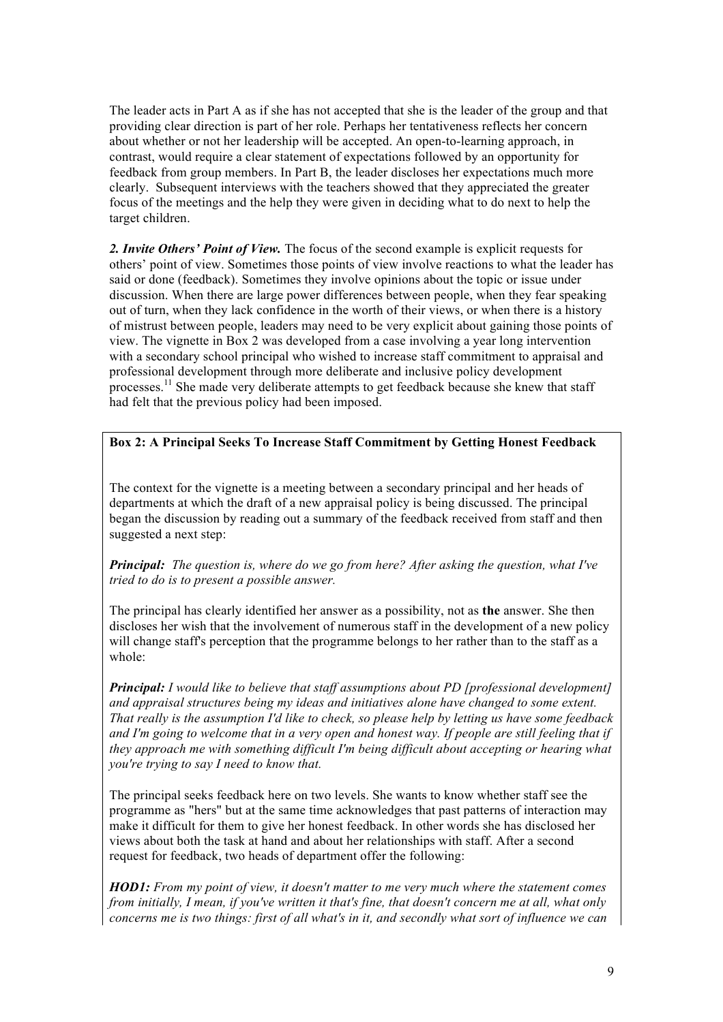The leader acts in Part A as if she has not accepted that she is the leader of the group and that providing clear direction is part of her role. Perhaps her tentativeness reflects her concern about whether or not her leadership will be accepted. An open-to-learning approach, in contrast, would require a clear statement of expectations followed by an opportunity for feedback from group members. In Part B, the leader discloses her expectations much more clearly. Subsequent interviews with the teachers showed that they appreciated the greater focus of the meetings and the help they were given in deciding what to do next to help the target children.

2. Invite Others' Point of View. The focus of the second example is explicit requests for others' point of view. Sometimes those points of view involve reactions to what the leader has said or done (feedback). Sometimes they involve opinions about the topic or issue under discussion. When there are large power differences between people, when they fear speaking out of turn, when they lack confidence in the worth of their views, or when there is a history of mistrust between people, leaders may need to be very explicit about gaining those points of view. The vignette in Box 2 was developed from a case involving a year long intervention with a secondary school principal who wished to increase staff commitment to appraisal and professional development through more deliberate and inclusive policy development processes.<sup>11</sup> She made very deliberate attempts to get feedback because she knew that staff had felt that the previous policy had been imposed.

## **Box 2: A Principal Seeks To Increase Staff Commitment by Getting Honest Feedback**

The context for the vignette is a meeting between a secondary principal and her heads of departments at which the draft of a new appraisal policy is being discussed. The principal began the discussion by reading out a summary of the feedback received from staff and then suggested a next step:

## *Principal: The question is, where do we go from here? After asking the question, what I've tried to do is to present a possible answer.*

The principal has clearly identified her answer as a possibility, not as **the** answer. She then discloses her wish that the involvement of numerous staff in the development of a new policy will change staff's perception that the programme belongs to her rather than to the staff as a whole:

*Principal: I would like to believe that staff assumptions about PD [professional development] and appraisal structures being my ideas and initiatives alone have changed to some extent. That really is the assumption I'd like to check, so please help by letting us have some feedback and I'm going to welcome that in a very open and honest way. If people are still feeling that if they approach me with something difficult I'm being difficult about accepting or hearing what you're trying to say I need to know that.*

The principal seeks feedback here on two levels. She wants to know whether staff see the programme as "hers" but at the same time acknowledges that past patterns of interaction may make it difficult for them to give her honest feedback. In other words she has disclosed her views about both the task at hand and about her relationships with staff. After a second request for feedback, two heads of department offer the following:

*HOD1: From my point of view, it doesn't matter to me very much where the statement comes from initially, I mean, if you've written it that's fine, that doesn't concern me at all, what only concerns me is two things: first of all what's in it, and secondly what sort of influence we can*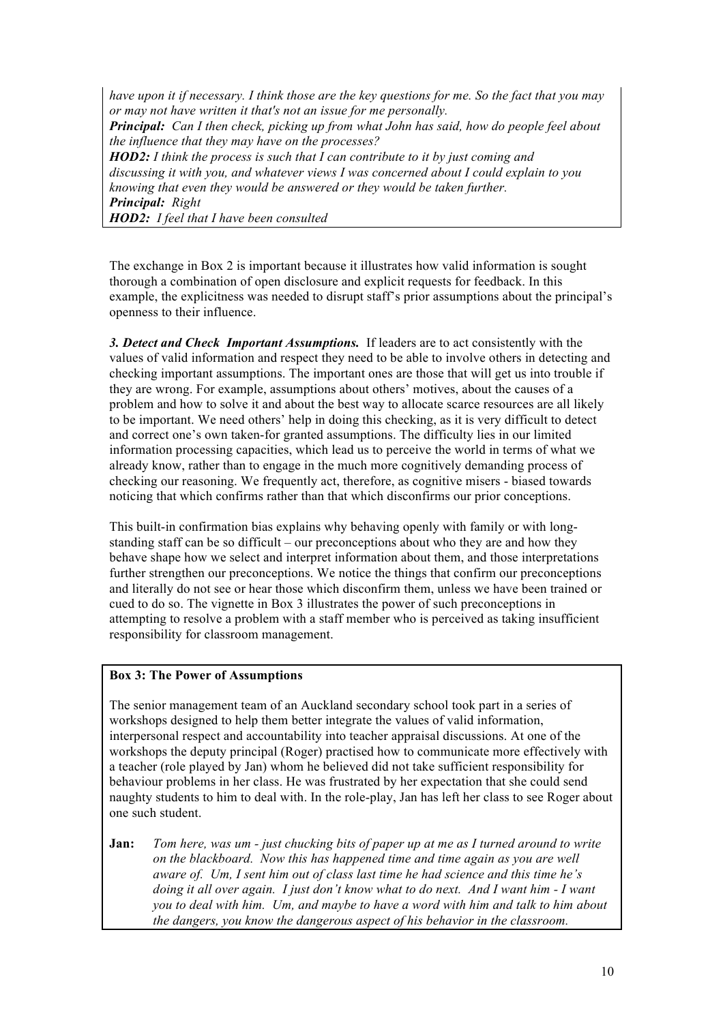*have upon it if necessary. I think those are the key questions for me. So the fact that you may or may not have written it that's not an issue for me personally. Principal: Can I then check, picking up from what John has said, how do people feel about the influence that they may have on the processes? HOD2: I think the process is such that I can contribute to it by just coming and discussing it with you, and whatever views I was concerned about I could explain to you knowing that even they would be answered or they would be taken further. Principal: Right HOD2: I feel that I have been consulted*

The exchange in Box 2 is important because it illustrates how valid information is sought thorough a combination of open disclosure and explicit requests for feedback. In this example, the explicitness was needed to disrupt staff's prior assumptions about the principal's openness to their influence.

*3. Detect and Check Important Assumptions.* If leaders are to act consistently with the values of valid information and respect they need to be able to involve others in detecting and checking important assumptions. The important ones are those that will get us into trouble if they are wrong. For example, assumptions about others' motives, about the causes of a problem and how to solve it and about the best way to allocate scarce resources are all likely to be important. We need others' help in doing this checking, as it is very difficult to detect and correct one's own taken-for granted assumptions. The difficulty lies in our limited information processing capacities, which lead us to perceive the world in terms of what we already know, rather than to engage in the much more cognitively demanding process of checking our reasoning. We frequently act, therefore, as cognitive misers - biased towards noticing that which confirms rather than that which disconfirms our prior conceptions.

This built-in confirmation bias explains why behaving openly with family or with longstanding staff can be so difficult – our preconceptions about who they are and how they behave shape how we select and interpret information about them, and those interpretations further strengthen our preconceptions. We notice the things that confirm our preconceptions and literally do not see or hear those which disconfirm them, unless we have been trained or cued to do so. The vignette in Box 3 illustrates the power of such preconceptions in attempting to resolve a problem with a staff member who is perceived as taking insufficient responsibility for classroom management.

## **Box 3: The Power of Assumptions**

The senior management team of an Auckland secondary school took part in a series of workshops designed to help them better integrate the values of valid information, interpersonal respect and accountability into teacher appraisal discussions. At one of the workshops the deputy principal (Roger) practised how to communicate more effectively with a teacher (role played by Jan) whom he believed did not take sufficient responsibility for behaviour problems in her class. He was frustrated by her expectation that she could send naughty students to him to deal with. In the role-play, Jan has left her class to see Roger about one such student.

**Jan:** *Tom here, was um - just chucking bits of paper up at me as I turned around to write on the blackboard. Now this has happened time and time again as you are well aware of. Um, I sent him out of class last time he had science and this time he's doing it all over again. I just don't know what to do next. And I want him - I want you to deal with him. Um, and maybe to have a word with him and talk to him about the dangers, you know the dangerous aspect of his behavior in the classroom.*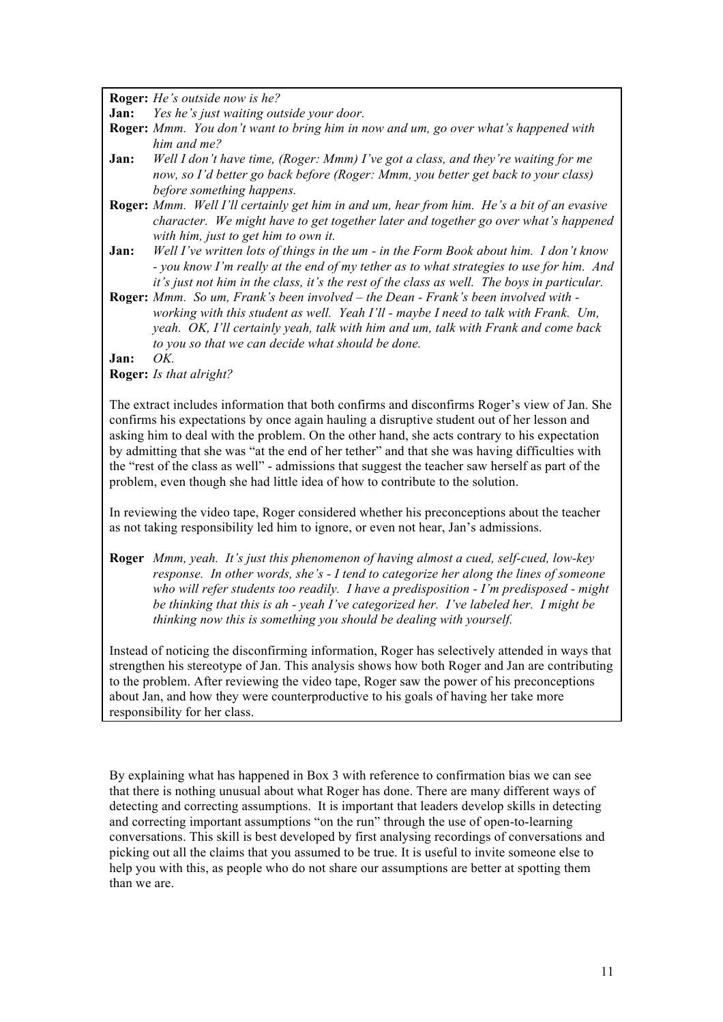**Roger:** *He's outside now is he?*

**Jan:** *Yes he's just waiting outside your door.*

- **Roger:** *Mmm. You don't want to bring him in now and um, go over what's happened with him and me?*
- **Jan:** *Well I don't have time, (Roger: Mmm) I've got a class, and they're waiting for me now, so I'd better go back before (Roger: Mmm, you better get back to your class) before something happens.*
- **Roger:** *Mmm. Well I'll certainly get him in and um, hear from him. He's a bit of an evasive character. We might have to get together later and together go over what's happened with him, just to get him to own it.*
- **Jan:** *Well I've written lots of things in the um in the Form Book about him. I don't know - you know I'm really at the end of my tether as to what strategies to use for him. And it's just not him in the class, it's the rest of the class as well. The boys in particular.*
- **Roger:** *Mmm. So um, Frank's been involved the Dean Frank's been involved with working with this student as well. Yeah I'll - maybe I need to talk with Frank. Um, yeah. OK, I'll certainly yeah, talk with him and um, talk with Frank and come back to you so that we can decide what should be done.*

#### **Jan:** *OK.*

**Roger:** *Is that alright?*

The extract includes information that both confirms and disconfirms Roger's view of Jan. She confirms his expectations by once again hauling a disruptive student out of her lesson and asking him to deal with the problem. On the other hand, she acts contrary to his expectation by admitting that she was "at the end of her tether" and that she was having difficulties with the "rest of the class as well" - admissions that suggest the teacher saw herself as part of the problem, even though she had little idea of how to contribute to the solution.

In reviewing the video tape, Roger considered whether his preconceptions about the teacher as not taking responsibility led him to ignore, or even not hear, Jan's admissions.

**Roger** *Mmm, yeah. It's just this phenomenon of having almost a cued, self-cued, low-key response. In other words, she's - I tend to categorize her along the lines of someone who will refer students too readily. I have a predisposition - I'm predisposed - might be thinking that this is ah - yeah I've categorized her. I've labeled her. I might be thinking now this is something you should be dealing with yourself.* 

Instead of noticing the disconfirming information, Roger has selectively attended in ways that strengthen his stereotype of Jan. This analysis shows how both Roger and Jan are contributing to the problem. After reviewing the video tape, Roger saw the power of his preconceptions about Jan, and how they were counterproductive to his goals of having her take more responsibility for her class.

By explaining what has happened in Box 3 with reference to confirmation bias we can see that there is nothing unusual about what Roger has done. There are many different ways of detecting and correcting assumptions. It is important that leaders develop skills in detecting and correcting important assumptions "on the run" through the use of open-to-learning conversations. This skill is best developed by first analysing recordings of conversations and picking out all the claims that you assumed to be true. It is useful to invite someone else to help you with this, as people who do not share our assumptions are better at spotting them than we are.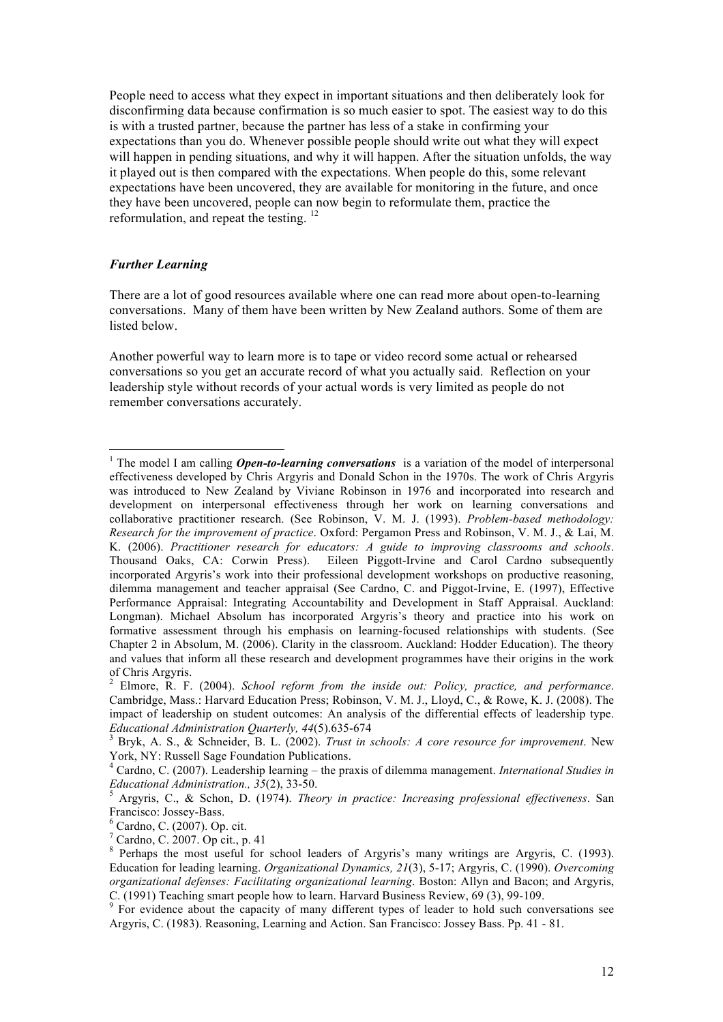People need to access what they expect in important situations and then deliberately look for disconfirming data because confirmation is so much easier to spot. The easiest way to do this is with a trusted partner, because the partner has less of a stake in confirming your expectations than you do. Whenever possible people should write out what they will expect will happen in pending situations, and why it will happen. After the situation unfolds, the way it played out is then compared with the expectations. When people do this, some relevant expectations have been uncovered, they are available for monitoring in the future, and once they have been uncovered, people can now begin to reformulate them, practice the reformulation, and repeat the testing. <sup>12</sup>

### *Further Learning*

There are a lot of good resources available where one can read more about open-to-learning conversations. Many of them have been written by New Zealand authors. Some of them are listed below.

Another powerful way to learn more is to tape or video record some actual or rehearsed conversations so you get an accurate record of what you actually said. Reflection on your leadership style without records of your actual words is very limited as people do not remember conversations accurately.

 $\frac{1}{1}$ <sup>1</sup> The model I am calling *Open-to-learning conversations* is a variation of the model of interpersonal effectiveness developed by Chris Argyris and Donald Schon in the 1970s. The work of Chris Argyris was introduced to New Zealand by Viviane Robinson in 1976 and incorporated into research and development on interpersonal effectiveness through her work on learning conversations and collaborative practitioner research. (See Robinson, V. M. J. (1993). *Problem-based methodology: Research for the improvement of practice*. Oxford: Pergamon Press and Robinson, V. M. J., & Lai, M. K. (2006). *Practitioner research for educators: A guide to improving classrooms and schools*. Thousand Oaks, CA: Corwin Press). Eileen Piggott-Irvine and Carol Cardno subsequently incorporated Argyris's work into their professional development workshops on productive reasoning, dilemma management and teacher appraisal (See Cardno, C. and Piggot-Irvine, E. (1997), Effective Performance Appraisal: Integrating Accountability and Development in Staff Appraisal. Auckland: Longman). Michael Absolum has incorporated Argyris's theory and practice into his work on formative assessment through his emphasis on learning-focused relationships with students. (See Chapter 2 in Absolum, M. (2006). Clarity in the classroom. Auckland: Hodder Education). The theory and values that inform all these research and development programmes have their origins in the work of Chris Argyris.

<sup>2</sup> Elmore, R. F. (2004). *School reform from the inside out: Policy, practice, and performance*. Cambridge, Mass.: Harvard Education Press; Robinson, V. M. J., Lloyd, C., & Rowe, K. J. (2008). The impact of leadership on student outcomes: An analysis of the differential effects of leadership type. *Educational Administration Quarterly, 44*(5).635-674 <sup>3</sup> Bryk, A. S., & Schneider, B. L. (2002). *Trust in schools: A core resource for improvement*. New

York, NY: Russell Sage Foundation Publications.

<sup>4</sup> Cardno, C. (2007). Leadership learning – the praxis of dilemma management. *International Studies in Educational Administration., 35*(2), 33-50. <sup>5</sup> Argyris, C., & Schon, D. (1974). *Theory in practice: Increasing professional effectiveness*. San

Francisco: Jossey-Bass.<br><sup>6</sup> Cardno, C. (2007). Op. cit.

 $^7$  Cardno, C. 2007. Op cit., p. 41

<sup>&</sup>lt;sup>8</sup> Perhaps the most useful for school leaders of Argyris's many writings are Argyris, C. (1993). Education for leading learning. *Organizational Dynamics, 21*(3), 5-17; Argyris, C. (1990). *Overcoming organizational defenses: Facilitating organizational learning*. Boston: Allyn and Bacon; and Argyris, C. (1991) Teaching smart people how to learn. Harvard Business Review, 69 (3), 99-109.

<sup>&</sup>lt;sup>9</sup> For evidence about the capacity of many different types of leader to hold such conversations see Argyris, C. (1983). Reasoning, Learning and Action. San Francisco: Jossey Bass. Pp. 41 - 81.